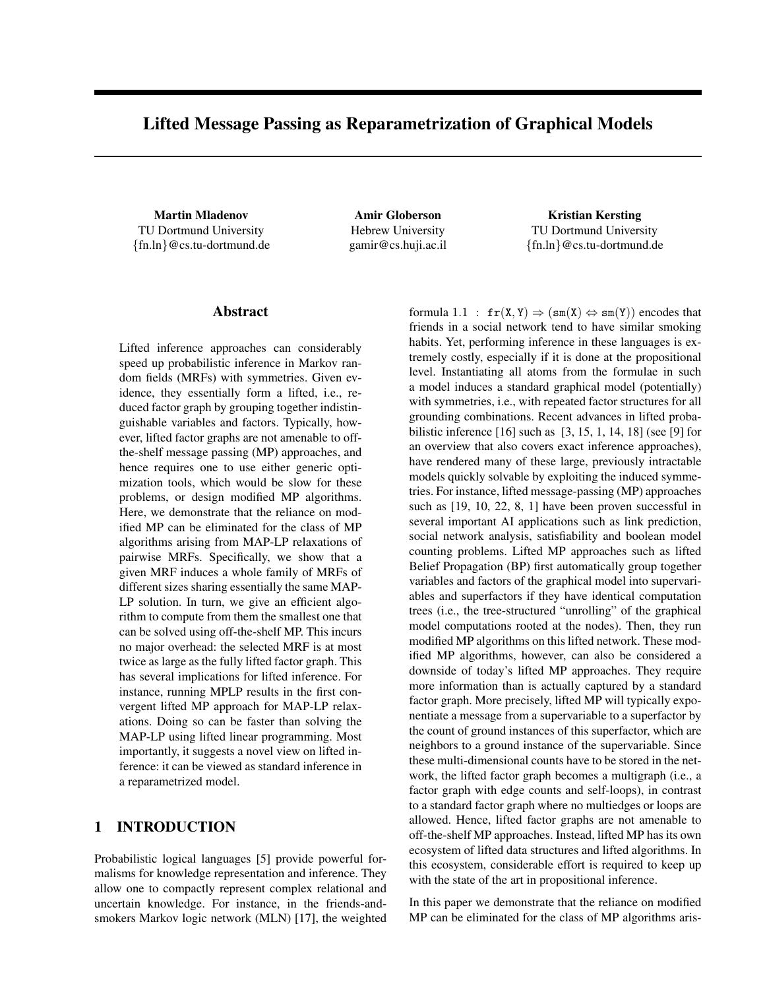# Lifted Message Passing as Reparametrization of Graphical Models

Martin Mladenov TU Dortmund University {fn.ln}@cs.tu-dortmund.de

Amir Globerson Hebrew University gamir@cs.huji.ac.il

Kristian Kersting TU Dortmund University {fn.ln}@cs.tu-dortmund.de

#### Abstract

Lifted inference approaches can considerably speed up probabilistic inference in Markov random fields (MRFs) with symmetries. Given evidence, they essentially form a lifted, i.e., reduced factor graph by grouping together indistinguishable variables and factors. Typically, however, lifted factor graphs are not amenable to offthe-shelf message passing (MP) approaches, and hence requires one to use either generic optimization tools, which would be slow for these problems, or design modified MP algorithms. Here, we demonstrate that the reliance on modified MP can be eliminated for the class of MP algorithms arising from MAP-LP relaxations of pairwise MRFs. Specifically, we show that a given MRF induces a whole family of MRFs of different sizes sharing essentially the same MAP-LP solution. In turn, we give an efficient algorithm to compute from them the smallest one that can be solved using off-the-shelf MP. This incurs no major overhead: the selected MRF is at most twice as large as the fully lifted factor graph. This has several implications for lifted inference. For instance, running MPLP results in the first convergent lifted MP approach for MAP-LP relaxations. Doing so can be faster than solving the MAP-LP using lifted linear programming. Most importantly, it suggests a novel view on lifted inference: it can be viewed as standard inference in a reparametrized model.

# 1 INTRODUCTION

Probabilistic logical languages [5] provide powerful formalisms for knowledge representation and inference. They allow one to compactly represent complex relational and uncertain knowledge. For instance, in the friends-andsmokers Markov logic network (MLN) [17], the weighted

formula 1.1 :  $fr(X, Y) \Rightarrow (sm(X) \Leftrightarrow sm(Y))$  encodes that friends in a social network tend to have similar smoking habits. Yet, performing inference in these languages is extremely costly, especially if it is done at the propositional level. Instantiating all atoms from the formulae in such a model induces a standard graphical model (potentially) with symmetries, i.e., with repeated factor structures for all grounding combinations. Recent advances in lifted probabilistic inference [16] such as [3, 15, 1, 14, 18] (see [9] for an overview that also covers exact inference approaches), have rendered many of these large, previously intractable models quickly solvable by exploiting the induced symmetries. For instance, lifted message-passing (MP) approaches such as [19, 10, 22, 8, 1] have been proven successful in several important AI applications such as link prediction, social network analysis, satisfiability and boolean model counting problems. Lifted MP approaches such as lifted Belief Propagation (BP) first automatically group together variables and factors of the graphical model into supervariables and superfactors if they have identical computation trees (i.e., the tree-structured "unrolling" of the graphical model computations rooted at the nodes). Then, they run modified MP algorithms on this lifted network. These modified MP algorithms, however, can also be considered a downside of today's lifted MP approaches. They require more information than is actually captured by a standard factor graph. More precisely, lifted MP will typically exponentiate a message from a supervariable to a superfactor by the count of ground instances of this superfactor, which are neighbors to a ground instance of the supervariable. Since these multi-dimensional counts have to be stored in the network, the lifted factor graph becomes a multigraph (i.e., a factor graph with edge counts and self-loops), in contrast to a standard factor graph where no multiedges or loops are allowed. Hence, lifted factor graphs are not amenable to off-the-shelf MP approaches. Instead, lifted MP has its own ecosystem of lifted data structures and lifted algorithms. In this ecosystem, considerable effort is required to keep up with the state of the art in propositional inference.

In this paper we demonstrate that the reliance on modified MP can be eliminated for the class of MP algorithms aris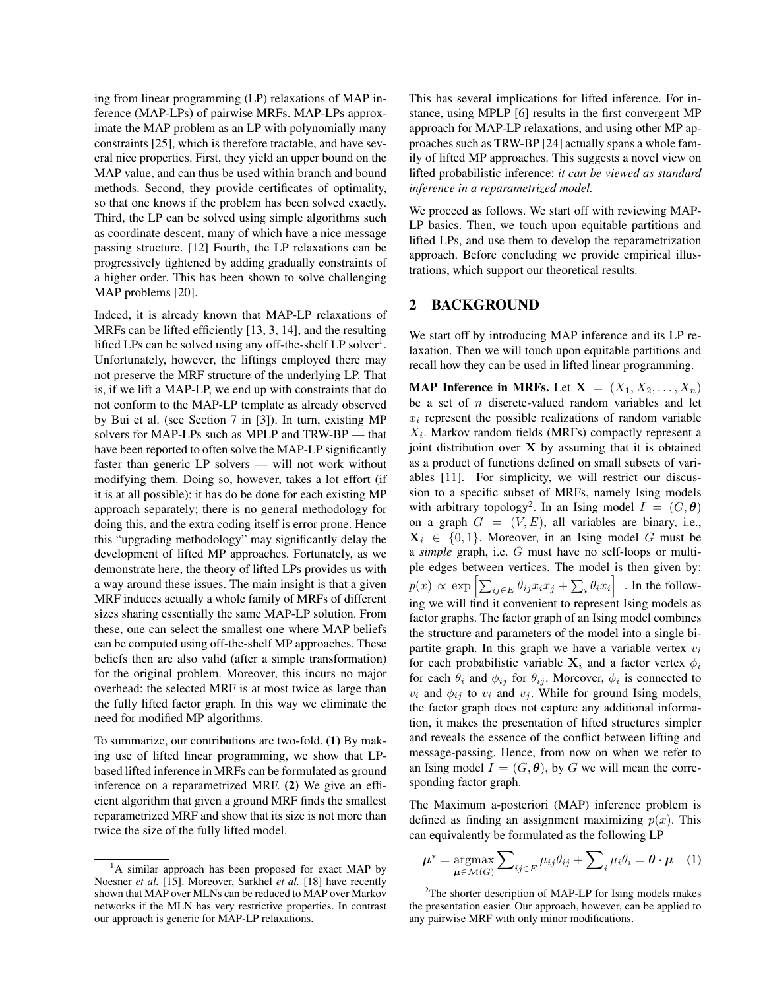ing from linear programming (LP) relaxations of MAP inference (MAP-LPs) of pairwise MRFs. MAP-LPs approximate the MAP problem as an LP with polynomially many constraints [25], which is therefore tractable, and have several nice properties. First, they yield an upper bound on the MAP value, and can thus be used within branch and bound methods. Second, they provide certificates of optimality, so that one knows if the problem has been solved exactly. Third, the LP can be solved using simple algorithms such as coordinate descent, many of which have a nice message passing structure. [12] Fourth, the LP relaxations can be progressively tightened by adding gradually constraints of a higher order. This has been shown to solve challenging MAP problems [20].

Indeed, it is already known that MAP-LP relaxations of MRFs can be lifted efficiently [13, 3, 14], and the resulting lifted LPs can be solved using any off-the-shelf LP solver<sup>1</sup>. Unfortunately, however, the liftings employed there may not preserve the MRF structure of the underlying LP. That is, if we lift a MAP-LP, we end up with constraints that do not conform to the MAP-LP template as already observed by Bui et al. (see Section 7 in [3]). In turn, existing MP solvers for MAP-LPs such as MPLP and TRW-BP — that have been reported to often solve the MAP-LP significantly faster than generic LP solvers — will not work without modifying them. Doing so, however, takes a lot effort (if it is at all possible): it has do be done for each existing MP approach separately; there is no general methodology for doing this, and the extra coding itself is error prone. Hence this "upgrading methodology" may significantly delay the development of lifted MP approaches. Fortunately, as we demonstrate here, the theory of lifted LPs provides us with a way around these issues. The main insight is that a given MRF induces actually a whole family of MRFs of different sizes sharing essentially the same MAP-LP solution. From these, one can select the smallest one where MAP beliefs can be computed using off-the-shelf MP approaches. These beliefs then are also valid (after a simple transformation) for the original problem. Moreover, this incurs no major overhead: the selected MRF is at most twice as large than the fully lifted factor graph. In this way we eliminate the need for modified MP algorithms.

To summarize, our contributions are two-fold. (1) By making use of lifted linear programming, we show that LPbased lifted inference in MRFs can be formulated as ground inference on a reparametrized MRF. (2) We give an efficient algorithm that given a ground MRF finds the smallest reparametrized MRF and show that its size is not more than twice the size of the fully lifted model.

This has several implications for lifted inference. For instance, using MPLP [6] results in the first convergent MP approach for MAP-LP relaxations, and using other MP approaches such as TRW-BP [24] actually spans a whole family of lifted MP approaches. This suggests a novel view on lifted probabilistic inference: *it can be viewed as standard inference in a reparametrized model.*

We proceed as follows. We start off with reviewing MAP-LP basics. Then, we touch upon equitable partitions and lifted LPs, and use them to develop the reparametrization approach. Before concluding we provide empirical illustrations, which support our theoretical results.

## 2 BACKGROUND

We start off by introducing MAP inference and its LP relaxation. Then we will touch upon equitable partitions and recall how they can be used in lifted linear programming.

**MAP Inference in MRFs.** Let  $X = (X_1, X_2, \ldots, X_n)$ be a set of  $n$  discrete-valued random variables and let  $x_i$  represent the possible realizations of random variable  $X_i$ . Markov random fields (MRFs) compactly represent a joint distribution over  $X$  by assuming that it is obtained as a product of functions defined on small subsets of variables [11]. For simplicity, we will restrict our discussion to a specific subset of MRFs, namely Ising models with arbitrary topology<sup>2</sup>. In an Ising model  $I = (G, \theta)$ on a graph  $G = (V, E)$ , all variables are binary, i.e.,  $X_i \in \{0, 1\}$ . Moreover, in an Ising model G must be a *simple* graph, i.e. G must have no self-loops or multiple edges between vertices. The model is then given by:  $p(x) \propto \exp\left[\sum_{ij \in E} \theta_{ij} x_i x_j + \sum_i \theta_i x_i\right]$  . In the following we will find it convenient to represent Ising models as factor graphs. The factor graph of an Ising model combines the structure and parameters of the model into a single bipartite graph. In this graph we have a variable vertex  $v_i$ for each probabilistic variable  $X_i$  and a factor vertex  $\phi_i$ for each  $\theta_i$  and  $\phi_{ij}$  for  $\theta_{ij}$ . Moreover,  $\phi_i$  is connected to  $v_i$  and  $\phi_{ij}$  to  $v_i$  and  $v_j$ . While for ground Ising models, the factor graph does not capture any additional information, it makes the presentation of lifted structures simpler and reveals the essence of the conflict between lifting and message-passing. Hence, from now on when we refer to an Ising model  $I = (G, \theta)$ , by G we will mean the corresponding factor graph.

The Maximum a-posteriori (MAP) inference problem is defined as finding an assignment maximizing  $p(x)$ . This can equivalently be formulated as the following LP

$$
\boldsymbol{\mu}^* = \underset{\boldsymbol{\mu} \in \mathcal{M}(G)}{\operatorname{argmax}} \sum_{ij \in E} \mu_{ij} \theta_{ij} + \sum_{i} \mu_{i} \theta_{i} = \boldsymbol{\theta} \cdot \boldsymbol{\mu} \quad (1)
$$

<sup>&</sup>lt;sup>1</sup>A similar approach has been proposed for exact MAP by Noesner *et al.* [15]. Moreover, Sarkhel *et al.* [18] have recently shown that MAP over MLNs can be reduced to MAP over Markov networks if the MLN has very restrictive properties. In contrast our approach is generic for MAP-LP relaxations.

 $2$ The shorter description of MAP-LP for Ising models makes the presentation easier. Our approach, however, can be applied to any pairwise MRF with only minor modifications.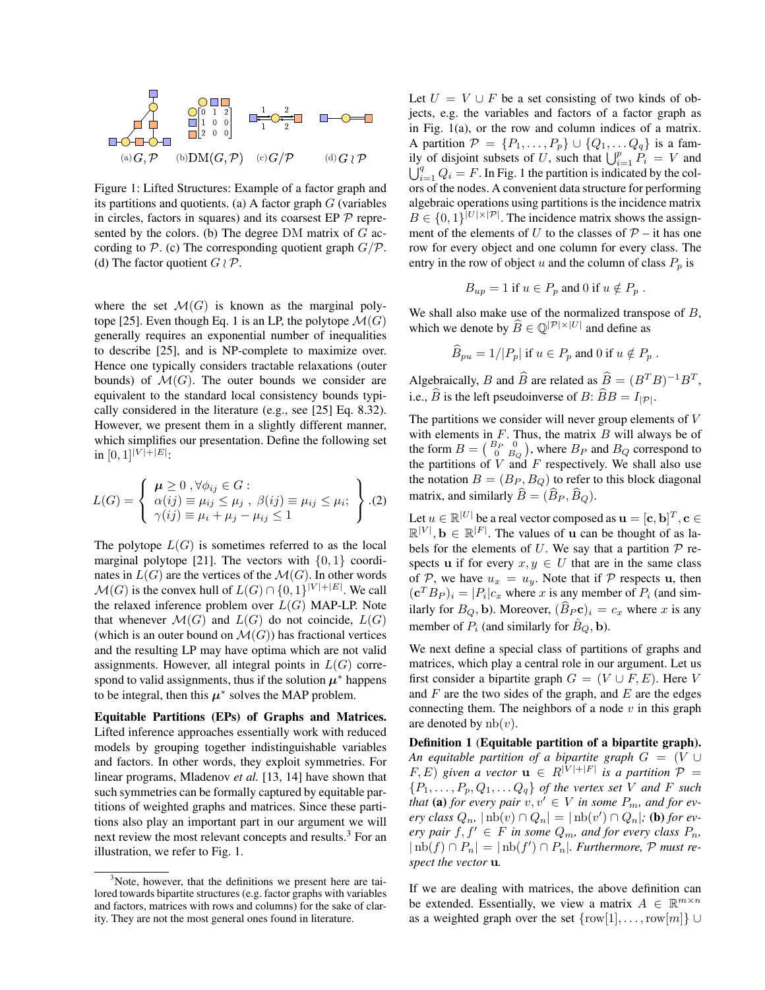

Figure 1: Lifted Structures: Example of a factor graph and its partitions and quotients. (a) A factor graph  $G$  (variables in circles, factors in squares) and its coarsest EP  $\mathcal P$  represented by the colors. (b) The degree  $DM$  matrix of  $G$  according to  $P$ . (c) The corresponding quotient graph  $G/P$ . (d) The factor quotient  $G \wr \mathcal{P}$ .

where the set  $\mathcal{M}(G)$  is known as the marginal polytope [25]. Even though Eq. 1 is an LP, the polytope  $\mathcal{M}(G)$ generally requires an exponential number of inequalities to describe [25], and is NP-complete to maximize over. Hence one typically considers tractable relaxations (outer bounds) of  $\mathcal{M}(G)$ . The outer bounds we consider are equivalent to the standard local consistency bounds typically considered in the literature (e.g., see [25] Eq. 8.32). However, we present them in a slightly different manner, which simplifies our presentation. Define the following set in  $[0,1]$ <sup> $|V|+|E|$ </sup>:

$$
L(G) = \begin{cases} \mu \geq 0, \forall \phi_{ij} \in G : \\ \alpha(ij) \equiv \mu_{ij} \leq \mu_j, \ \beta(ij) \equiv \mu_{ij} \leq \mu_i; \\ \gamma(ij) \equiv \mu_i + \mu_j - \mu_{ij} \leq 1 \end{cases}.
$$
 (2)

The polytope  $L(G)$  is sometimes referred to as the local marginal polytope [21]. The vectors with  $\{0, 1\}$  coordinates in  $L(G)$  are the vertices of the  $\mathcal{M}(G)$ . In other words  $\mathcal{M}(G)$  is the convex hull of  $L(G) \cap \{0,1\}^{|V|+|E|}$ . We call the relaxed inference problem over  $L(G)$  MAP-LP. Note that whenever  $\mathcal{M}(G)$  and  $L(G)$  do not coincide,  $L(G)$ (which is an outer bound on  $\mathcal{M}(G)$ ) has fractional vertices and the resulting LP may have optima which are not valid assignments. However, all integral points in  $L(G)$  correspond to valid assignments, thus if the solution  $\mu^*$  happens to be integral, then this  $\mu^*$  solves the MAP problem.

Equitable Partitions (EPs) of Graphs and Matrices. Lifted inference approaches essentially work with reduced models by grouping together indistinguishable variables and factors. In other words, they exploit symmetries. For linear programs, Mladenov *et al.* [13, 14] have shown that such symmetries can be formally captured by equitable partitions of weighted graphs and matrices. Since these partitions also play an important part in our argument we will next review the most relevant concepts and results.<sup>3</sup> For an illustration, we refer to Fig. 1.

Let  $U = V \cup F$  be a set consisting of two kinds of objects, e.g. the variables and factors of a factor graph as in Fig. 1(a), or the row and column indices of a matrix. A partition  $\mathcal{P} = \{P_1, \ldots, P_p\} \cup \{Q_1, \ldots, Q_q\}$  is a family of disjoint subsets of U, such that  $\bigcup_{i=1}^{p} P_i = V$  and  $\bigcup_{i=1}^{q} Q_i = F$ . In Fig. 1 the partition is indicated by the colors of the nodes. A convenient data structure for performing algebraic operations using partitions is the incidence matrix  $B \in \{0,1\}^{|U| \times |\mathcal{P}|}$ . The incidence matrix shows the assignment of the elements of U to the classes of  $P -$  it has one row for every object and one column for every class. The entry in the row of object u and the column of class  $P_p$  is

$$
B_{up} = 1
$$
 if  $u \in P_p$  and 0 if  $u \notin P_p$ .

We shall also make use of the normalized transpose of B, which we denote by  $\widehat{B} \in \mathbb{Q}^{|\mathcal{P}| \times |U|}$  and define as

$$
\widehat{B}_{pu} = 1/|P_p| \text{ if } u \in P_p \text{ and } 0 \text{ if } u \notin P_p .
$$

Algebraically, B and  $\widehat{B}$  are related as  $\widehat{B} = (B^T B)^{-1} B^T$ , i.e.,  $\widehat{B}$  is the left pseudoinverse of B:  $\widehat{B}B = I_{|\mathcal{P}|}$ .

The partitions we consider will never group elements of  $V$ with elements in  $F$ . Thus, the matrix  $B$  will always be of the form  $B = \begin{pmatrix} B_P & 0 \\ 0 & B_Q \end{pmatrix}$ , where  $B_P$  and  $B_Q$  correspond to the partitions of  $V$  and  $F$  respectively. We shall also use the notation  $B = (B_P, B_Q)$  to refer to this block diagonal matrix, and similarly  $\widehat{B} = (\widehat{B}_P, \widehat{B}_Q)$ .

Let  $u \in \mathbb{R}^{|U|}$  be a real vector composed as  $\mathbf{u} = [\mathbf{c},\mathbf{b}]^T, \mathbf{c} \in \mathbb{R}^{|U|}$  $\mathbb{R}^{|V|}$ ,  $\mathbf{b} \in \mathbb{R}^{|F|}$ . The values of **u** can be thought of as labels for the elements of U. We say that a partition  $P$  respects u if for every  $x, y \in U$  that are in the same class of P, we have  $u_x = u_y$ . Note that if P respects u, then  $({\bf c}^T B_P)_i = |P_i| c_x$  where x is any member of  $P_i$  (and similarly for  $B_Q$ , b). Moreover,  $(B_P c)_i = c_x$  where x is any member of  $P_i$  (and similarly for  $\hat{B}_Q$ , b).

We next define a special class of partitions of graphs and matrices, which play a central role in our argument. Let us first consider a bipartite graph  $G = (V \cup F, E)$ . Here V and  $F$  are the two sides of the graph, and  $E$  are the edges connecting them. The neighbors of a node  $v$  in this graph are denoted by  $nb(v)$ .

Definition 1 (Equitable partition of a bipartite graph). *An equitable partition of a bipartite graph*  $G = (V \cup$  $(F, E)$  given a vector  $\mathbf{u} \in R^{|V|+|F|}$  is a partition  $\mathcal{P} =$  ${P_1, \ldots, P_p, Q_1, \ldots Q_q}$  *of the vertex set V and F such that* (a) *for every pair*  $v, v' \in V$  *in some*  $P_m$ *, and for ev-* $\exp class Q_n$ ,  $|\operatorname{nb}(v) \cap Q_n| = |\operatorname{nb}(v') \cap Q_n|$ ; (**b**) for ev*ery pair*  $f, f' \in F$  *in some*  $Q_m$ *, and for every class*  $P_n$ *,*  $| \operatorname{nb}(f) \cap P_n | = | \operatorname{nb}(f') \cap P_n |$ *. Furthermore, P must respect the vector* u*.*

If we are dealing with matrices, the above definition can be extended. Essentially, we view a matrix  $A \in \mathbb{R}^{m \times n}$ as a weighted graph over the set  $\{row[1], \ldots, row[m]\} \cup$ 

<sup>&</sup>lt;sup>3</sup>Note, however, that the definitions we present here are tailored towards bipartite structures (e.g. factor graphs with variables and factors, matrices with rows and columns) for the sake of clarity. They are not the most general ones found in literature.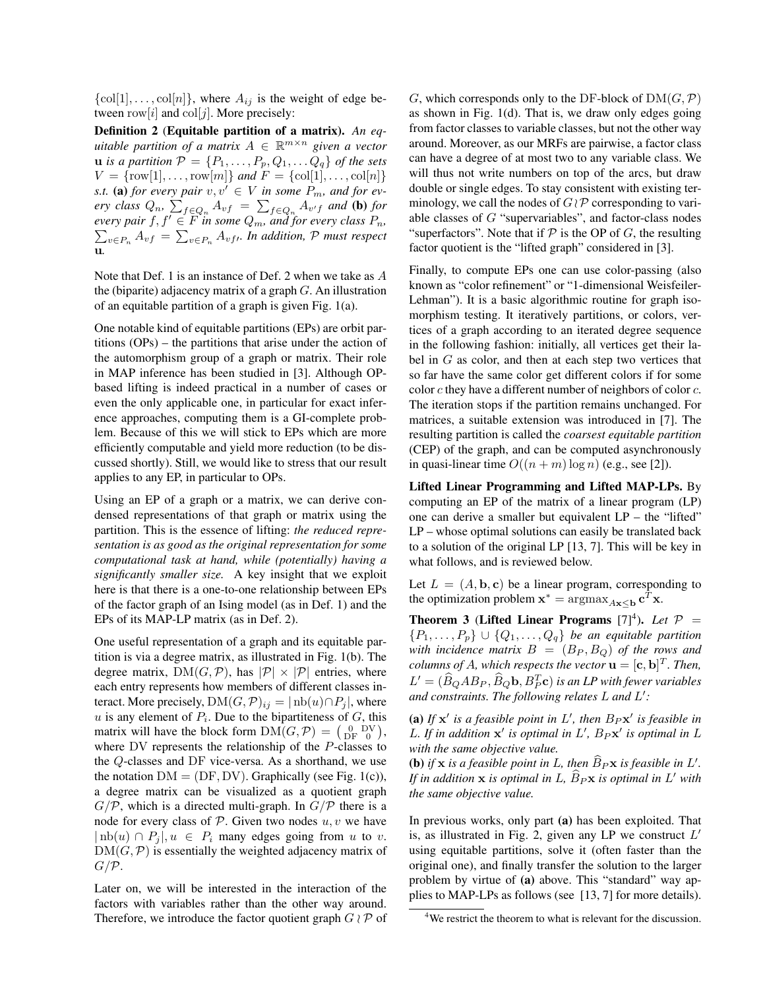$\{\text{col}[1], \ldots, \text{col}[n]\},$  where  $A_{ij}$  is the weight of edge between row $[i]$  and  $\text{col}[j]$ . More precisely:

Definition 2 (Equitable partition of a matrix). *An equitable partition of a matrix* A ∈ R <sup>m</sup>×<sup>n</sup> *given a vector* **u** *is a partition*  $P = \{P_1, \ldots, P_p, Q_1, \ldots, Q_q\}$  *of the sets*  $V = \{ \text{row}[1], \dots, \text{row}[m] \}$  *and*  $F = \{ \text{col}[1], \dots, \text{col}[n] \}$ *s.t.* (a) *for every pair*  $v, v' \in V$  *in some*  $P_m$ *, and for every class*  $Q_n$ ,  $\sum_{f \in Q_n} A_{vf} = \sum_{f \in Q_n} A_{v'f}$  and (b) for *every pair*  $f, f' \in \overline{F}$  *in some*  $Q_m$ *, and for every class*  $P_n$ *,*  $\sum_{v \in P_n} A_{vf} = \sum_{v \in P_n} A_{vf}$ . In addition, P must respect u*.*

Note that Def. 1 is an instance of Def. 2 when we take as A the (biparite) adjacency matrix of a graph  $G$ . An illustration of an equitable partition of a graph is given Fig. 1(a).

One notable kind of equitable partitions (EPs) are orbit partitions (OPs) – the partitions that arise under the action of the automorphism group of a graph or matrix. Their role in MAP inference has been studied in [3]. Although OPbased lifting is indeed practical in a number of cases or even the only applicable one, in particular for exact inference approaches, computing them is a GI-complete problem. Because of this we will stick to EPs which are more efficiently computable and yield more reduction (to be discussed shortly). Still, we would like to stress that our result applies to any EP, in particular to OPs.

Using an EP of a graph or a matrix, we can derive condensed representations of that graph or matrix using the partition. This is the essence of lifting: *the reduced representation is as good as the original representation for some computational task at hand, while (potentially) having a significantly smaller size.* A key insight that we exploit here is that there is a one-to-one relationship between EPs of the factor graph of an Ising model (as in Def. 1) and the EPs of its MAP-LP matrix (as in Def. 2).

One useful representation of a graph and its equitable partition is via a degree matrix, as illustrated in Fig. 1(b). The degree matrix,  $DM(G, \mathcal{P})$ , has  $|\mathcal{P}| \times |\mathcal{P}|$  entries, where each entry represents how members of different classes interact. More precisely, DM $(G, \mathcal{P})_{ij} = | \, \text{nb}(u) \cap P_i |$ , where  $u$  is any element of  $P_i$ . Due to the bipartiteness of  $G$ , this matrix will have the block form  $DM(G, \mathcal{P}) = \begin{pmatrix} 0 & DV \\ DF & 0 \end{pmatrix}$ , where DV represents the relationship of the P-classes to the Q-classes and DF vice-versa. As a shorthand, we use the notation  $DM = (DF, DV)$ . Graphically (see Fig. 1(c)), a degree matrix can be visualized as a quotient graph  $G/P$ , which is a directed multi-graph. In  $G/P$  there is a node for every class of  $P$ . Given two nodes  $u, v$  we have  $| \text{nb}(u) \cap P_i |, u \in P_i$  many edges going from u to v.  $DM(G, \mathcal{P})$  is essentially the weighted adjacency matrix of  $G/P$ .

Later on, we will be interested in the interaction of the factors with variables rather than the other way around. Therefore, we introduce the factor quotient graph  $G \wr \mathcal{P}$  of G, which corresponds only to the DF-block of  $DM(G, \mathcal{P})$ as shown in Fig. 1(d). That is, we draw only edges going from factor classes to variable classes, but not the other way around. Moreover, as our MRFs are pairwise, a factor class can have a degree of at most two to any variable class. We will thus not write numbers on top of the arcs, but draw double or single edges. To stay consistent with existing terminology, we call the nodes of  $G \, \mathcal{P}$  corresponding to variable classes of  $G$  "supervariables", and factor-class nodes "superfactors". Note that if  $P$  is the OP of G, the resulting factor quotient is the "lifted graph" considered in [3].

Finally, to compute EPs one can use color-passing (also known as "color refinement" or "1-dimensional Weisfeiler-Lehman"). It is a basic algorithmic routine for graph isomorphism testing. It iteratively partitions, or colors, vertices of a graph according to an iterated degree sequence in the following fashion: initially, all vertices get their label in  $G$  as color, and then at each step two vertices that so far have the same color get different colors if for some color  $c$  they have a different number of neighbors of color  $c$ . The iteration stops if the partition remains unchanged. For matrices, a suitable extension was introduced in [7]. The resulting partition is called the *coarsest equitable partition* (CEP) of the graph, and can be computed asynchronously in quasi-linear time  $O((n+m)\log n)$  (e.g., see [2]).

Lifted Linear Programming and Lifted MAP-LPs. By computing an EP of the matrix of a linear program (LP) one can derive a smaller but equivalent LP – the "lifted" LP – whose optimal solutions can easily be translated back to a solution of the original LP [13, 7]. This will be key in what follows, and is reviewed below.

Let  $L = (A, \mathbf{b}, \mathbf{c})$  be a linear program, corresponding to the optimization problem  $\mathbf{x}^* = \arg\max_{A\mathbf{x} \leq \mathbf{b}} \mathbf{c}^T \mathbf{x}$ .

**Theorem 3** (Lifted Linear Programs  $[7]^4$ ). Let  $P =$  $\{P_1,\ldots,P_p\}\cup\{Q_1,\ldots,Q_q\}$  be an equitable partition *with incidence matrix*  $B = (B_P, B_Q)$  *of the rows and columns of A, which respects the vector*  $\mathbf{u} = [\mathbf{c}, \mathbf{b}]^T$ *. Then,*  $L' = (\widehat{B}_Q A B_P, \widehat{B}_Q \mathbf{b}, B_T^T \mathbf{c})$  *is an LP with fewer variables and constraints. The following relates* L *and* L 0 *:*

(a) If  $x'$  is a feasible point in  $L'$ , then  $B_Px'$  is feasible in L. If in addition  $x'$  is optimal in  $L'$ ,  $B_P x'$  is optimal in  $L$ *with the same objective value.*

**(b)** if **x** is a feasible point in L, then  $\widehat{B}_P$ **x** is feasible in L'. *If in addition*  $\bf{x}$  *is optimal in*  $L$ *,*  $\widehat{B}_P \bf{x}$  *is optimal in*  $L'$  *with the same objective value.*

In previous works, only part (a) has been exploited. That is, as illustrated in Fig. 2, given any LP we construct  $L'$ using equitable partitions, solve it (often faster than the original one), and finally transfer the solution to the larger problem by virtue of (a) above. This "standard" way applies to MAP-LPs as follows (see [13, 7] for more details).

<sup>&</sup>lt;sup>4</sup>We restrict the theorem to what is relevant for the discussion.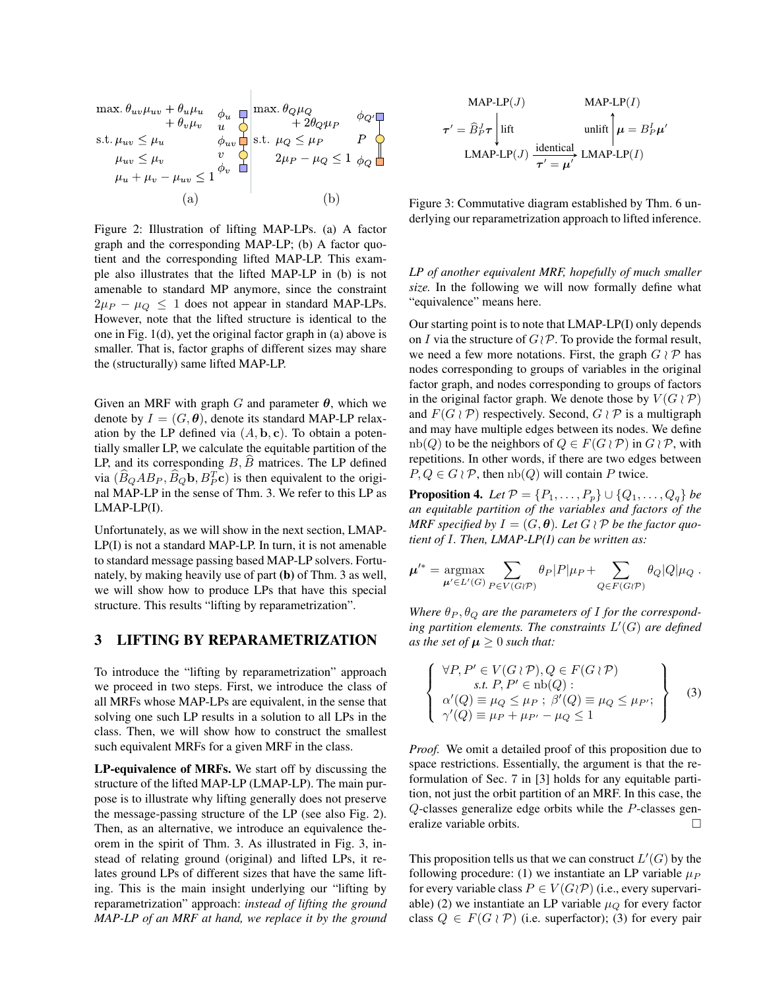$$
\max. \theta_{uv}\mu_{uv} + \theta_u\mu_u \quad \phi_u \quad \text{max.} \quad \theta_Q\mu_Q
$$
\n
$$
\text{s.t. } \mu_{uv} \le \mu_u \quad \phi_{uv} \quad \text{in.} \quad \mu_Q \le \mu_P \quad P \quad P \quad \text{in.} \quad \mu_{uv} \le \mu_v \quad \text{in.} \quad \mu_Q \le 1 \quad \phi_Q \quad \text{in.} \quad \mu_{uv} \le \mu_v \quad \text{in.} \quad \mu_{uv} \le 1 \quad \phi_v \quad \text{in.} \quad \mu_{uv} + \mu_v - \mu_{uv} \le 1 \quad \phi_v \quad \text{in.} \quad \mu_{uv} \le 0
$$
\n
$$
(a) \quad (b)
$$

 $\mathbb{L}$ 

Figure 2: Illustration of lifting MAP-LPs. (a) A factor graph and the corresponding MAP-LP; (b) A factor quotient and the corresponding lifted MAP-LP. This example also illustrates that the lifted MAP-LP in (b) is not amenable to standard MP anymore, since the constraint  $2\mu_P - \mu_Q \leq 1$  does not appear in standard MAP-LPs. However, note that the lifted structure is identical to the one in Fig. 1(d), yet the original factor graph in (a) above is smaller. That is, factor graphs of different sizes may share the (structurally) same lifted MAP-LP.

Given an MRF with graph G and parameter  $\theta$ , which we denote by  $I = (G, \theta)$ , denote its standard MAP-LP relaxation by the LP defined via  $(A, \mathbf{b}, \mathbf{c})$ . To obtain a potentially smaller LP, we calculate the equitable partition of the LP, and its corresponding  $B$ ,  $\widehat{B}$  matrices. The LP defined via  $(\widehat{B}_Q AB_P, \widehat{B}_Q \mathbf{b}, B_P^T \mathbf{c})$  is then equivalent to the original MAP-LP in the sense of Thm. 3. We refer to this LP as LMAP-LP(I).

Unfortunately, as we will show in the next section, LMAP-LP(I) is not a standard MAP-LP. In turn, it is not amenable to standard message passing based MAP-LP solvers. Fortunately, by making heavily use of part (b) of Thm. 3 as well, we will show how to produce LPs that have this special structure. This results "lifting by reparametrization".

## 3 LIFTING BY REPARAMETRIZATION

To introduce the "lifting by reparametrization" approach we proceed in two steps. First, we introduce the class of all MRFs whose MAP-LPs are equivalent, in the sense that solving one such LP results in a solution to all LPs in the class. Then, we will show how to construct the smallest such equivalent MRFs for a given MRF in the class.

LP-equivalence of MRFs. We start off by discussing the structure of the lifted MAP-LP (LMAP-LP). The main purpose is to illustrate why lifting generally does not preserve the message-passing structure of the LP (see also Fig. 2). Then, as an alternative, we introduce an equivalence theorem in the spirit of Thm. 3. As illustrated in Fig. 3, instead of relating ground (original) and lifted LPs, it relates ground LPs of different sizes that have the same lifting. This is the main insight underlying our "lifting by reparametrization" approach: *instead of lifting the ground MAP-LP of an MRF at hand, we replace it by the ground*

MAP-LP(*J*) MAP-LP(*I*)  
\n
$$
\tau' = \hat{B}_P^J \tau \left| \text{lift} \right| \text{unlift} \left| \mu = B_P^I \mu' \right|
$$
\nLMAP-LP(*J*) 
$$
\frac{\text{identical}}{\tau' = \mu'} \text{LMAP-LP(I)}
$$

Figure 3: Commutative diagram established by Thm. 6 underlying our reparametrization approach to lifted inference.

*LP of another equivalent MRF, hopefully of much smaller size.* In the following we will now formally define what "equivalence" means here.

Our starting point is to note that LMAP-LP(I) only depends on I via the structure of  $G \, \mathcal{P}$ . To provide the formal result, we need a few more notations. First, the graph  $G \wr \mathcal{P}$  has nodes corresponding to groups of variables in the original factor graph, and nodes corresponding to groups of factors in the original factor graph. We denote those by  $V(G \wr \mathcal{P})$ and  $F(G \nvert \mathcal{P})$  respectively. Second,  $G \nvert \mathcal{P}$  is a multigraph and may have multiple edges between its nodes. We define  $nb(Q)$  to be the neighbors of  $Q \in F(G \wr \mathcal{P})$  in  $G \wr \mathcal{P}$ , with repetitions. In other words, if there are two edges between  $P, Q \in G \wr \mathcal{P}$ , then  $nb(Q)$  will contain P twice.

**Proposition 4.** *Let*  $P = \{P_1, ..., P_p\} \cup \{Q_1, ..., Q_q\}$  *be an equitable partition of the variables and factors of the MRF specified by*  $I = (G, \theta)$ *. Let*  $G \wr \mathcal{P}$  *be the factor quotient of* I*. Then, LMAP-LP(I) can be written as:*

$$
\mu'^* = \underset{\mu' \in L'(G)}{\text{argmax}} \sum_{P \in V(G \wr P)} \theta_P |P| \mu_P + \sum_{Q \in F(G \wr P)} \theta_Q |Q| \mu_Q.
$$

Where  $\theta_P$ ,  $\theta_Q$  are the parameters of I for the correspond*ing partition elements. The constraints* L 0 (G) *are defined as the set of*  $\mu \geq 0$  *such that:* 

$$
\left\{\n\begin{array}{l}\n\forall P, P' \in V(G \wr P), Q \in F(G \wr P) \\
s.t. P, P' \in \text{nb}(Q): \\
\alpha'(Q) \equiv \mu_Q \leq \mu_P; \ \beta'(Q) \equiv \mu_Q \leq \mu_{P'}; \\
\gamma'(Q) \equiv \mu_P + \mu_{P'} - \mu_Q \leq 1\n\end{array}\n\right\} \tag{3}
$$

*Proof.* We omit a detailed proof of this proposition due to space restrictions. Essentially, the argument is that the reformulation of Sec. 7 in [3] holds for any equitable partition, not just the orbit partition of an MRF. In this case, the Q-classes generalize edge orbits while the P-classes generalize variable orbits.

This proposition tells us that we can construct  $L'(G)$  by the following procedure: (1) we instantiate an LP variable  $\mu_P$ for every variable class  $P \in V(G \setminus \mathcal{P})$  (i.e., every supervariable) (2) we instantiate an LP variable  $\mu<sub>O</sub>$  for every factor class  $Q \in F(G \wr \mathcal{P})$  (i.e. superfactor); (3) for every pair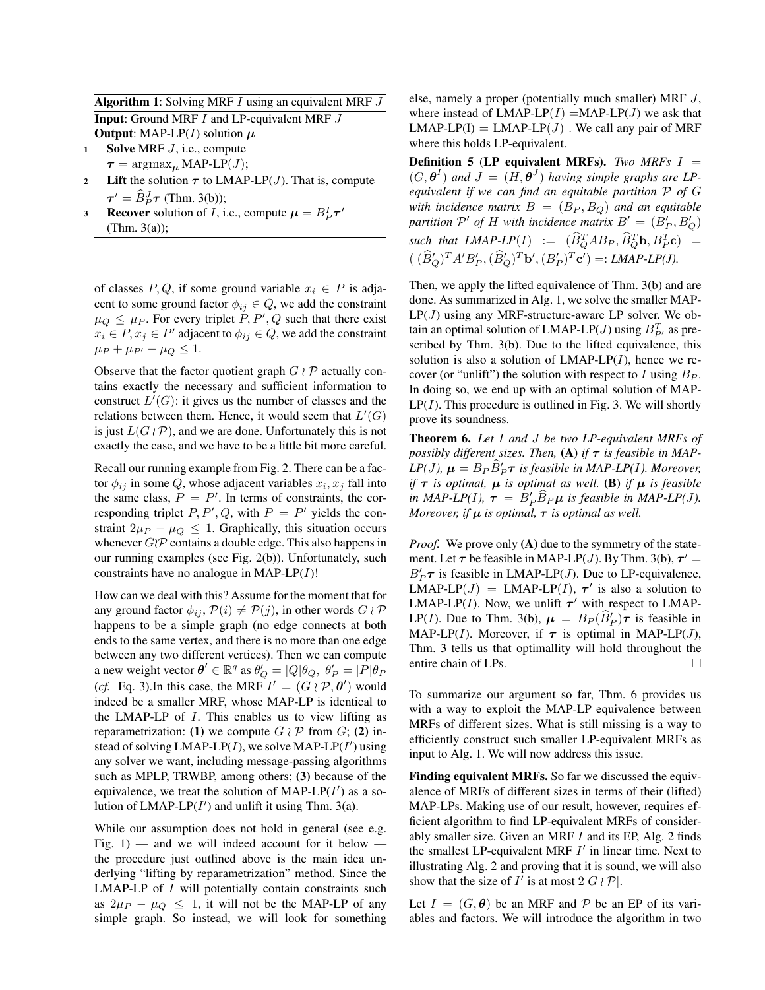Algorithm 1: Solving MRF I using an equivalent MRF J **Input:** Ground MRF *I* and LP-equivalent MRF *J* **Output:** MAP-LP $(I)$  solution  $\mu$ 

1 Solve MRF  $J$ , i.e., compute

 $\tau = \operatorname{argmax}_{\mu} \text{MAP-LP}(J);$ 

- 2 Lift the solution  $\tau$  to LMAP-LP(*J*). That is, compute  $\tau' = \widehat{B}_P^J \tau$  (Thm. 3(b));
- **Recover** solution of *I*, i.e., compute  $\mu = B_P^I \tau'$ 3  $(Thm. 3(a))$ ;

of classes P, Q, if some ground variable  $x_i \in P$  is adjacent to some ground factor  $\phi_{ij} \in Q$ , we add the constraint  $\mu_Q \leq \mu_P$ . For every triplet  $\dot{P}, P', Q$  such that there exist  $x_i \in P, x_j \in P'$  adjacent to  $\phi_{ij} \in Q$ , we add the constraint  $\mu_P + \mu_{P'} - \mu_Q \leq 1.$ 

Observe that the factor quotient graph  $G \wr \mathcal{P}$  actually contains exactly the necessary and sufficient information to construct  $L'(G)$ : it gives us the number of classes and the relations between them. Hence, it would seem that  $L'(G)$ is just  $L(G \wr \mathcal{P})$ , and we are done. Unfortunately this is not exactly the case, and we have to be a little bit more careful.

Recall our running example from Fig. 2. There can be a factor  $\phi_{ij}$  in some Q, whose adjacent variables  $x_i, x_j$  fall into the same class,  $P = P'$ . In terms of constraints, the corresponding triplet  $P, P', Q$ , with  $P = P'$  yields the constraint  $2\mu_P - \mu_Q \leq 1$ . Graphically, this situation occurs whenever  $G\mathcal{P}$  contains a double edge. This also happens in our running examples (see Fig. 2(b)). Unfortunately, such constraints have no analogue in MAP-LP $(I)$ !

How can we deal with this? Assume for the moment that for any ground factor  $\phi_{ij}$ ,  $\mathcal{P}(i) \neq \mathcal{P}(j)$ , in other words  $G \wr \mathcal{P}$ happens to be a simple graph (no edge connects at both ends to the same vertex, and there is no more than one edge between any two different vertices). Then we can compute a new weight vector  $\theta' \in \mathbb{R}^q$  as  $\theta'_Q = |Q|\theta_Q$ ,  $\theta'_P = |\overline{P}|\theta_P$ (*cf.* Eq. 3). In this case, the MRF  $I' = (G \wr \mathcal{P}, \theta')$  would indeed be a smaller MRF, whose MAP-LP is identical to the LMAP-LP of  $I$ . This enables us to view lifting as reparametrization: (1) we compute  $G \wr \mathcal{P}$  from  $G$ ; (2) instead of solving  $LMAP-LP(I)$ , we solve  $MAP-LP(I')$  using any solver we want, including message-passing algorithms such as MPLP, TRWBP, among others; (3) because of the equivalence, we treat the solution of  $MAP-LP(I')$  as a solution of  $LMAP-LP(I')$  and unlift it using Thm. 3(a).

While our assumption does not hold in general (see e.g. Fig. 1) — and we will indeed account for it below  $$ the procedure just outlined above is the main idea underlying "lifting by reparametrization" method. Since the  $LMAP-LP$  of  $I$  will potentially contain constraints such as  $2\mu_P - \mu_Q \leq 1$ , it will not be the MAP-LP of any simple graph. So instead, we will look for something

else, namely a proper (potentially much smaller) MRF J, where instead of  $LMAP-LP(I) = MAP-LP(J)$  we ask that  $LMAP-LP(I) = LMAP-LP(J)$ . We call any pair of MRF where this holds LP-equivalent.

Definition 5 (LP equivalent MRFs). *Two MRFs* I =  $(G, \theta^I)$  and  $J = (H, \theta^J)$  having simple graphs are LP*equivalent if we can find an equitable partition* P *of* G *with incidence matrix*  $B = (B_P, B_Q)$  *and an equitable* partition  $\mathcal{P}'$  of H with incidence matrix  $B' = (B'_P, B'_Q)$  $\text{such that } \text{LMAP-LP}(I) := (\widehat{B}_Q^T A B_P, \widehat{B}_Q^T \mathbf{b}, B_P^T \mathbf{c}) =$  $((\widehat{B}_Q')^T A'B_P', (\widehat{B}_Q')^T \mathbf{b}', (B_P')^T \mathbf{c}') =: LMAP-LP(J).$ 

Then, we apply the lifted equivalence of Thm. 3(b) and are done. As summarized in Alg. 1, we solve the smaller MAP- $LP(J)$  using any MRF-structure-aware LP solver. We obtain an optimal solution of LMAP-LP(*J*) using  $B_{P'}^T$  as prescribed by Thm. 3(b). Due to the lifted equivalence, this solution is also a solution of  $LMAP-LP(I)$ , hence we recover (or "unlift") the solution with respect to I using  $B_P$ . In doing so, we end up with an optimal solution of MAP- $LP(I)$ . This procedure is outlined in Fig. 3. We will shortly prove its soundness.

Theorem 6. *Let* I *and* J *be two LP-equivalent MRFs of possibly different sizes. Then,* (A) *if*  $\tau$  *is feasible in MAP*-*LP*(*J*),  $\mu = B_P \widehat{B}'_P \tau$  is feasible in MAP-LP(*I*). Moreover, *if*  $\tau$  *is optimal,*  $\mu$  *is optimal as well.* (B) *if*  $\mu$  *is feasible in MAP-LP(I),*  $\tau = B'_P \widehat{B}_P \mu$  *is feasible in MAP-LP(J). Moreover, if*  $\mu$  *is optimal,*  $\tau$  *is optimal as well.* 

*Proof.* We prove only (A) due to the symmetry of the statement. Let  $\tau$  be feasible in MAP-LP(*J*). By Thm. 3(b),  $\tau' =$  $B'_P \tau$  is feasible in LMAP-LP(*J*). Due to LP-equivalence,  $LMAP-LP(J) = LMAP-LP(I), \tau'$  is also a solution to LMAP-LP(I). Now, we unlift  $\tau'$  with respect to LMAP-LP(I). Due to Thm. 3(b),  $\mu = B_P(\widehat{B}_P')\tau$  is feasible in MAP-LP(I). Moreover, if  $\tau$  is optimal in MAP-LP(J), Thm. 3 tells us that optimallity will hold throughout the entire chain of LPs.

To summarize our argument so far, Thm. 6 provides us with a way to exploit the MAP-LP equivalence between MRFs of different sizes. What is still missing is a way to efficiently construct such smaller LP-equivalent MRFs as input to Alg. 1. We will now address this issue.

Finding equivalent MRFs. So far we discussed the equivalence of MRFs of different sizes in terms of their (lifted) MAP-LPs. Making use of our result, however, requires efficient algorithm to find LP-equivalent MRFs of considerably smaller size. Given an MRF  $I$  and its EP, Alg. 2 finds the smallest LP-equivalent MRF  $I'$  in linear time. Next to illustrating Alg. 2 and proving that it is sound, we will also show that the size of  $I'$  is at most  $2|G \wr \mathcal{P}|$ .

Let  $I = (G, \theta)$  be an MRF and P be an EP of its variables and factors. We will introduce the algorithm in two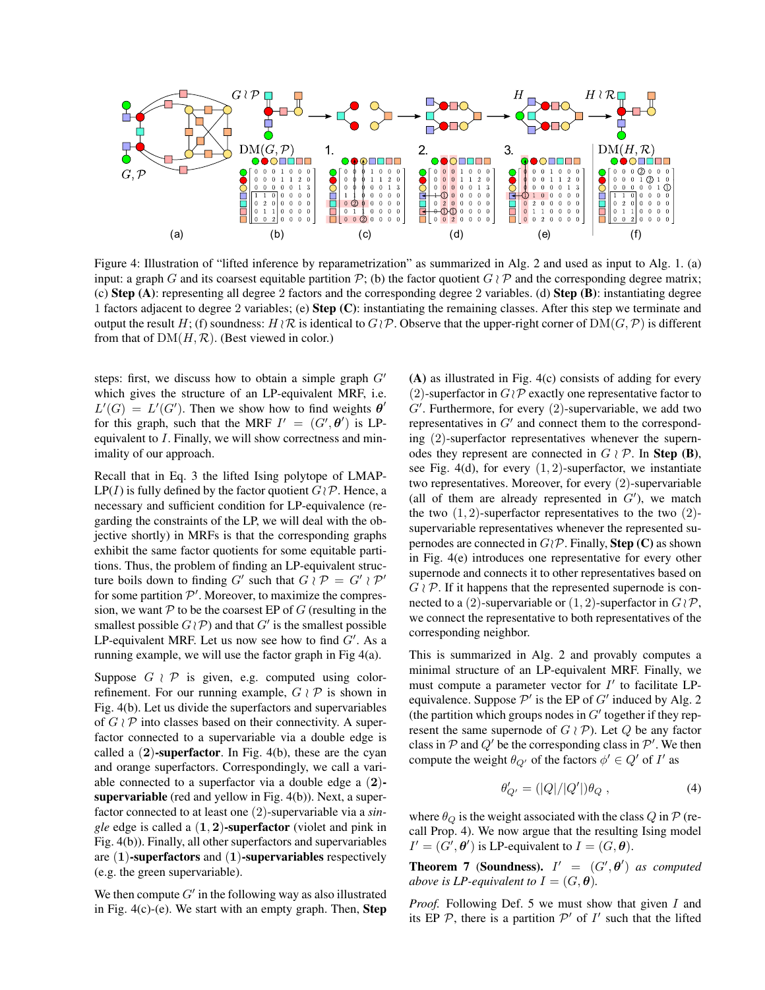

Figure 4: Illustration of "lifted inference by reparametrization" as summarized in Alg. 2 and used as input to Alg. 1. (a) input: a graph G and its coarsest equitable partition P; (b) the factor quotient  $G \nmid P$  and the corresponding degree matrix; (c) **Step (A)**: representing all degree 2 factors and the corresponding degree 2 variables. (d) **Step (B)**: instantiating degree 1 factors adjacent to degree 2 variables; (e) Step (C): instantiating the remaining classes. After this step we terminate and output the result H; (f) soundness:  $H \wr \mathcal{R}$  is identical to  $G \wr \mathcal{P}$ . Observe that the upper-right corner of  $\text{DM}(G, \mathcal{P})$  is different from that of  $DM(H, \mathcal{R})$ . (Best viewed in color.)

steps: first, we discuss how to obtain a simple graph  $G'$ which gives the structure of an LP-equivalent MRF, i.e.  $L'(G) = L'(G')$ . Then we show how to find weights  $\theta'$ for this graph, such that the MRF  $I' = (G', \theta')$  is LPequivalent to I. Finally, we will show correctness and minimality of our approach.

Recall that in Eq. 3 the lifted Ising polytope of LMAP- $LP(I)$  is fully defined by the factor quotient  $G \, \mathcal{P}$ . Hence, a necessary and sufficient condition for LP-equivalence (regarding the constraints of the LP, we will deal with the objective shortly) in MRFs is that the corresponding graphs exhibit the same factor quotients for some equitable partitions. Thus, the problem of finding an LP-equivalent structure boils down to finding G' such that  $G \wr \mathcal{P} = G' \wr \mathcal{P}'$ for some partition  $P'$ . Moreover, to maximize the compression, we want  $P$  to be the coarsest EP of G (resulting in the smallest possible  $G \setminus \mathcal{P}$ ) and that  $G'$  is the smallest possible LP-equivalent MRF. Let us now see how to find  $G'$ . As a running example, we will use the factor graph in Fig 4(a).

Suppose  $G \nmid \mathcal{P}$  is given, e.g. computed using colorrefinement. For our running example,  $G \wr \mathcal{P}$  is shown in Fig. 4(b). Let us divide the superfactors and supervariables of  $G \wr \mathcal{P}$  into classes based on their connectivity. A superfactor connected to a supervariable via a double edge is called a  $(2)$ -superfactor. In Fig. 4(b), these are the cyan and orange superfactors. Correspondingly, we call a variable connected to a superfactor via a double edge a (2) supervariable (red and yellow in Fig. 4(b)). Next, a superfactor connected to at least one (2)-supervariable via a *single* edge is called a (1, 2)-superfactor (violet and pink in Fig. 4(b)). Finally, all other superfactors and supervariables are  $(1)$ -superfactors and  $(1)$ -supervariables respectively (e.g. the green supervariable).

We then compute  $G'$  in the following way as also illustrated in Fig.  $4(c)$ - $(e)$ . We start with an empty graph. Then, **Step** 

(A) as illustrated in Fig. 4(c) consists of adding for every (2)-superfactor in  $G \wr \mathcal{P}$  exactly one representative factor to  $G'$ . Furthermore, for every  $(2)$ -supervariable, we add two representatives in  $G'$  and connect them to the corresponding (2)-superfactor representatives whenever the supernodes they represent are connected in  $G \wr \mathcal{P}$ . In Step (B), see Fig. 4(d), for every  $(1, 2)$ -superfactor, we instantiate two representatives. Moreover, for every (2)-supervariable (all of them are already represented in  $G'$ ), we match the two  $(1, 2)$ -superfactor representatives to the two  $(2)$ supervariable representatives whenever the represented supernodes are connected in  $G \setminus \mathcal{P}$ . Finally, **Step** (C) as shown in Fig. 4(e) introduces one representative for every other supernode and connects it to other representatives based on  $G \wr \mathcal{P}$ . If it happens that the represented supernode is connected to a (2)-supervariable or  $(1, 2)$ -superfactor in  $G \wr \mathcal{P}$ , we connect the representative to both representatives of the corresponding neighbor.

This is summarized in Alg. 2 and provably computes a minimal structure of an LP-equivalent MRF. Finally, we must compute a parameter vector for  $I'$  to facilitate LPequivalence. Suppose  $\mathcal{P}'$  is the EP of  $G'$  induced by Alg. 2 (the partition which groups nodes in  $G'$  together if they represent the same supernode of  $G \wr \mathcal{P}$ ). Let Q be any factor class in  $P$  and  $Q'$  be the corresponding class in  $P'$ . We then compute the weight  $\theta_{Q'}$  of the factors  $\phi' \in Q'$  of I' as

$$
\theta'_{Q'} = (|Q|/|Q'|)\theta_Q , \qquad (4)
$$

where  $\theta_Q$  is the weight associated with the class Q in P (recall Prop. 4). We now argue that the resulting Ising model  $I' = (G', \theta')$  is LP-equivalent to  $I = (G, \theta)$ .

**Theorem 7 (Soundness).**  $I' = (G', \theta')$  as computed *above is LP-equivalent to*  $I = (G, \theta)$ *.* 

*Proof.* Following Def. 5 we must show that given I and its EP  $P$ , there is a partition  $P'$  of  $I'$  such that the lifted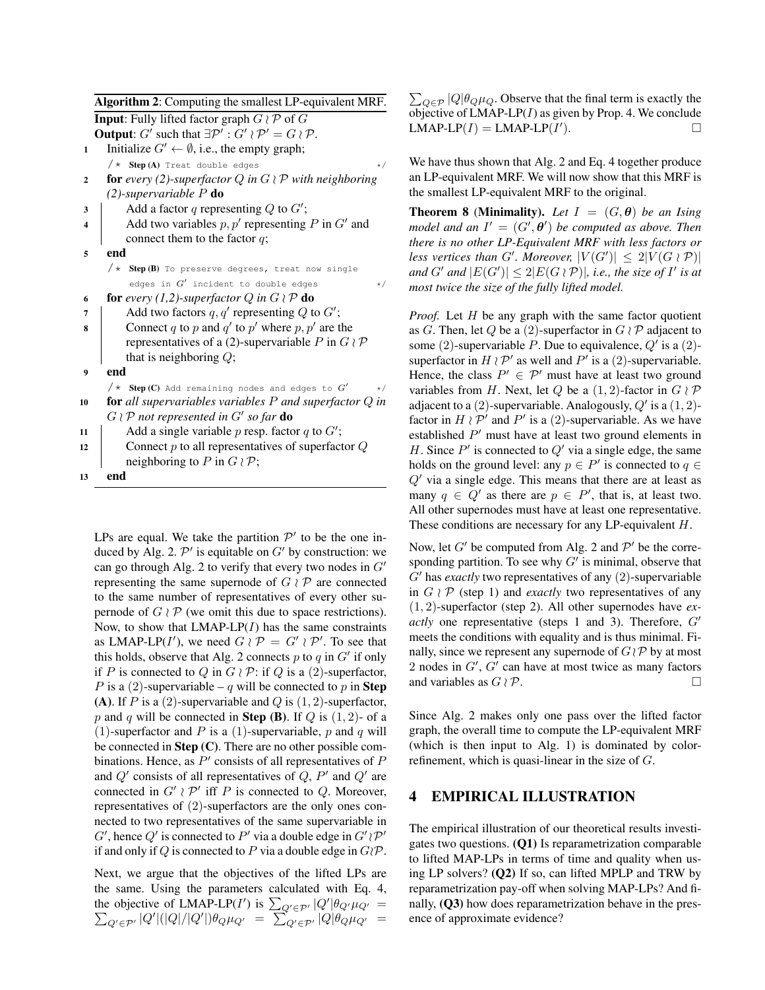Algorithm 2: Computing the smallest LP-equivalent MRF. **Input:** Fully lifted factor graph  $G \wr \mathcal{P}$  of G **Output:**  $G'$  such that  $\exists P' : G' \wr P' = G \wr P$ .

- 1 Initialize  $G' \leftarrow \emptyset$ , i.e., the empty graph;  $/\star$  Step (A) Treat double edges  $\star/$
- 2 **for** *every* (2)-superfactor  $Q$  *in*  $G \wr P$  *with neighboring (2)-supervariable* P do
- 3 | Add a factor q representing Q to  $G'$ ;

```
4 Add two variables p, p' representing P in G' and
       connect them to the factor q;
```
- 5 end
	- $/*$  Step (B) To preserve degrees, treat now single edges in  $G'$  incident to double edges  $*/$
- 6 **for** *every* (1,2)-superfactor  $Q$  *in*  $G \wr P$  **do**
- $\begin{array}{c|c} \hline \text{7} & \text{Add two factors } q, q' \text{ representing } Q \text{ to } G'; \hline \end{array}$ 8 Connect q to p and q' to p' where p, p' are the representatives of a (2)-supervariable P in  $G \wr \mathcal{P}$ that is neighboring  $Q$ ;
- 9 end

 $/*$  Step (C) Add remaining nodes and edges to  $G'$ \*/ <sup>10</sup> for *all supervariables variables* P *and superfactor* Q *in*

 $G \wr P$  not represented in  $G'$  so far **do** 

```
11 | Add a single variable p resp. factor q to G';
12 Connect p to all representatives of superfactor Qneighboring to P in G \wr \mathcal{P};
13 end
```
LPs are equal. We take the partition  $\mathcal{P}'$  to be the one induced by Alg. 2.  $\mathcal{P}'$  is equitable on  $G'$  by construction: we can go through Alg. 2 to verify that every two nodes in  $G'$ representing the same supernode of  $G \wr \mathcal{P}$  are connected to the same number of representatives of every other supernode of  $G \wr \mathcal{P}$  (we omit this due to space restrictions). Now, to show that  $LMAP-LP(I)$  has the same constraints as LMAP-LP(I'), we need  $G \wr \mathcal{P} = G' \wr \mathcal{P}'$ . To see that this holds, observe that Alg. 2 connects  $p$  to  $q$  in  $G'$  if only if P is connected to Q in  $G \wr \mathcal{P}$ : if Q is a (2)-superfactor, P is a (2)-supervariable – q will be connected to p in Step (A). If P is a (2)-supervariable and Q is  $(1, 2)$ -superfactor, p and q will be connected in **Step (B)**. If  $Q$  is  $(1, 2)$ - of a (1)-superfactor and P is a (1)-supervariable, p and q will be connected in Step (C). There are no other possible combinations. Hence, as  $P'$  consists of all representatives of  $P$ and  $Q'$  consists of all representatives of  $Q$ ,  $P'$  and  $Q'$  are connected in  $G' \nmid P'$  iff P is connected to Q. Moreover, representatives of (2)-superfactors are the only ones connected to two representatives of the same supervariable in G', hence Q' is connected to P' via a double edge in  $G' \wr \mathcal{P}'$ if and only if Q is connected to P via a double edge in  $G/P$ .

Next, we argue that the objectives of the lifted LPs are the same. Using the parameters calculated with Eq. 4, the objective of LMAP-LP(I') is  $\sum_{Q' \in \mathcal{P}'} |Q'$ P  $|\theta_{Q'}\mu_{Q'}|$  =  $_{Q'\in\mathcal{P}'}|Q'|(|Q|/|Q'|)\theta_Q\mu_{Q'} = \sum_{Q'\in\mathcal{P}'}^{\infty} |Q|\theta_Q\mu_{Q'}$ 

 $\sum_{Q \in \mathcal{P}} |Q| \theta_Q \mu_Q$ . Observe that the final term is exactly the objective of  $LMAP-LP(I)$  as given by Prop. 4. We conclude  $LMAP-LP(I) = LMAP-LP(I'$  $\Box$ 

We have thus shown that Alg. 2 and Eq. 4 together produce an LP-equivalent MRF. We will now show that this MRF is the smallest LP-equivalent MRF to the original.

**Theorem 8 (Minimality).** Let  $I = (G, \theta)$  be an Ising *model and an*  $I' = (G', \theta')$  *be computed as above. Then there is no other LP-Equivalent MRF with less factors or* less vertices than G'. Moreover,  $|V(G')| \leq 2|V(G \wr \mathcal{P})|$ and  $G'$  and  $|E(G')|\leq 2|E(G\wr \mathcal{P})|$ , *i.e., the size of*  $I'$  *is at most twice the size of the fully lifted model.*

*Proof.* Let H be any graph with the same factor quotient as G. Then, let Q be a (2)-superfactor in  $G \wr \mathcal{P}$  adjacent to some (2)-supervariable P. Due to equivalence,  $Q'$  is a (2)superfactor in  $H \wr \mathcal{P}'$  as well and  $P'$  is a (2)-supervariable. Hence, the class  $P' \in \mathcal{P}'$  must have at least two ground variables from H. Next, let Q be a  $(1, 2)$ -factor in  $G \wr \mathcal{P}$ adjacent to a  $(2)$ -supervariable. Analogously,  $Q'$  is a  $(1, 2)$ factor in  $H \wr \mathcal{P}'$  and  $P'$  is a (2)-supervariable. As we have established  $P'$  must have at least two ground elements in H. Since  $P'$  is connected to  $Q'$  via a single edge, the same holds on the ground level: any  $p \in P'$  is connected to  $q \in$  $Q'$  via a single edge. This means that there are at least as many  $q \in Q'$  as there are  $p \in P'$ , that is, at least two. All other supernodes must have at least one representative. These conditions are necessary for any LP-equivalent H.

Now, let  $G'$  be computed from Alg. 2 and  $\mathcal{P}'$  be the corresponding partition. To see why  $G'$  is minimal, observe that  $G'$  has *exactly* two representatives of any  $(2)$ -supervariable in  $G \wr \mathcal{P}$  (step 1) and *exactly* two representatives of any (1, 2)-superfactor (step 2). All other supernodes have *exactly* one representative (steps 1 and 3). Therefore,  $G'$ meets the conditions with equality and is thus minimal. Finally, since we represent any supernode of  $G \, \mathcal{P}$  by at most 2 nodes in  $G'$ ,  $G'$  can have at most twice as many factors and variables as  $G \wr \mathcal{P}$ .

Since Alg. 2 makes only one pass over the lifted factor graph, the overall time to compute the LP-equivalent MRF (which is then input to Alg. 1) is dominated by colorrefinement, which is quasi-linear in the size of G.

# 4 EMPIRICAL ILLUSTRATION

The empirical illustration of our theoretical results investigates two questions. (Q1) Is reparametrization comparable to lifted MAP-LPs in terms of time and quality when using LP solvers? (Q2) If so, can lifted MPLP and TRW by reparametrization pay-off when solving MAP-LPs? And finally, (Q3) how does reparametrization behave in the presence of approximate evidence?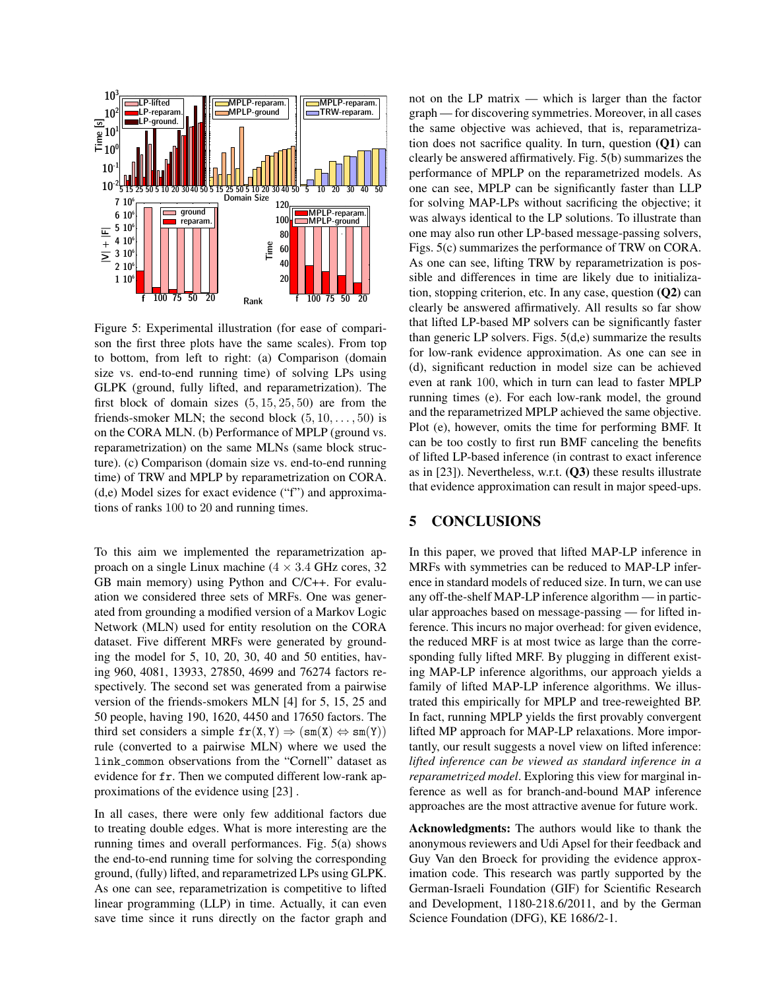

Figure 5: Experimental illustration (for ease of comparison the first three plots have the same scales). From top to bottom, from left to right: (a) Comparison (domain size vs. end-to-end running time) of solving LPs using GLPK (ground, fully lifted, and reparametrization). The first block of domain sizes  $(5, 15, 25, 50)$  are from the friends-smoker MLN; the second block  $(5, 10, \ldots, 50)$  is on the CORA MLN. (b) Performance of MPLP (ground vs. reparametrization) on the same MLNs (same block structure). (c) Comparison (domain size vs. end-to-end running time) of TRW and MPLP by reparametrization on CORA. (d,e) Model sizes for exact evidence ("f") and approximations of ranks 100 to 20 and running times.

To this aim we implemented the reparametrization approach on a single Linux machine  $(4 \times 3.4 \text{ GHz cores}, 32$ GB main memory) using Python and C/C++. For evaluation we considered three sets of MRFs. One was generated from grounding a modified version of a Markov Logic Network (MLN) used for entity resolution on the CORA dataset. Five different MRFs were generated by grounding the model for 5, 10, 20, 30, 40 and 50 entities, having 960, 4081, 13933, 27850, 4699 and 76274 factors respectively. The second set was generated from a pairwise version of the friends-smokers MLN [4] for 5, 15, 25 and 50 people, having 190, 1620, 4450 and 17650 factors. The third set considers a simple  $fr(X, Y) \Rightarrow (sm(X) \Leftrightarrow sm(Y))$ rule (converted to a pairwise MLN) where we used the link common observations from the "Cornell" dataset as evidence for fr. Then we computed different low-rank approximations of the evidence using [23] .

In all cases, there were only few additional factors due to treating double edges. What is more interesting are the running times and overall performances. Fig. 5(a) shows the end-to-end running time for solving the corresponding ground, (fully) lifted, and reparametrized LPs using GLPK. As one can see, reparametrization is competitive to lifted linear programming (LLP) in time. Actually, it can even save time since it runs directly on the factor graph and

not on the LP matrix — which is larger than the factor graph — for discovering symmetries. Moreover, in all cases the same objective was achieved, that is, reparametrization does not sacrifice quality. In turn, question (Q1) can clearly be answered affirmatively. Fig. 5(b) summarizes the performance of MPLP on the reparametrized models. As one can see, MPLP can be significantly faster than LLP for solving MAP-LPs without sacrificing the objective; it was always identical to the LP solutions. To illustrate than one may also run other LP-based message-passing solvers, Figs. 5(c) summarizes the performance of TRW on CORA. As one can see, lifting TRW by reparametrization is possible and differences in time are likely due to initialization, stopping criterion, etc. In any case, question  $(Q2)$  can clearly be answered affirmatively. All results so far show that lifted LP-based MP solvers can be significantly faster than generic LP solvers. Figs. 5(d,e) summarize the results for low-rank evidence approximation. As one can see in (d), significant reduction in model size can be achieved even at rank 100, which in turn can lead to faster MPLP running times (e). For each low-rank model, the ground and the reparametrized MPLP achieved the same objective. Plot (e), however, omits the time for performing BMF. It can be too costly to first run BMF canceling the benefits of lifted LP-based inference (in contrast to exact inference as in [23]). Nevertheless, w.r.t. (Q3) these results illustrate that evidence approximation can result in major speed-ups.

## 5 CONCLUSIONS

In this paper, we proved that lifted MAP-LP inference in MRFs with symmetries can be reduced to MAP-LP inference in standard models of reduced size. In turn, we can use any off-the-shelf MAP-LP inference algorithm — in particular approaches based on message-passing — for lifted inference. This incurs no major overhead: for given evidence, the reduced MRF is at most twice as large than the corresponding fully lifted MRF. By plugging in different existing MAP-LP inference algorithms, our approach yields a family of lifted MAP-LP inference algorithms. We illustrated this empirically for MPLP and tree-reweighted BP. In fact, running MPLP yields the first provably convergent lifted MP approach for MAP-LP relaxations. More importantly, our result suggests a novel view on lifted inference: *lifted inference can be viewed as standard inference in a reparametrized model*. Exploring this view for marginal inference as well as for branch-and-bound MAP inference approaches are the most attractive avenue for future work.

Acknowledgments: The authors would like to thank the anonymous reviewers and Udi Apsel for their feedback and Guy Van den Broeck for providing the evidence approximation code. This research was partly supported by the German-Israeli Foundation (GIF) for Scientific Research and Development, 1180-218.6/2011, and by the German Science Foundation (DFG), KE 1686/2-1.